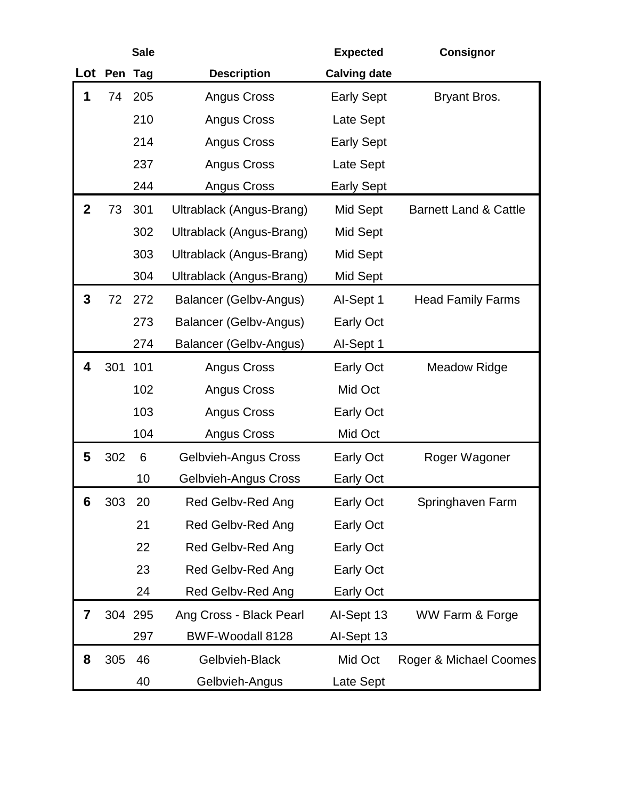|              |             | <b>Sale</b> |                             | <b>Expected</b>     | <b>Consignor</b>                 |
|--------------|-------------|-------------|-----------------------------|---------------------|----------------------------------|
|              | Lot Pen Tag |             | <b>Description</b>          | <b>Calving date</b> |                                  |
| 1            | 74          | 205         | Angus Cross                 | <b>Early Sept</b>   | Bryant Bros.                     |
|              |             | 210         | Angus Cross                 | Late Sept           |                                  |
|              |             | 214         | Angus Cross                 | <b>Early Sept</b>   |                                  |
|              |             | 237         | Angus Cross                 | Late Sept           |                                  |
|              |             | 244         | Angus Cross                 | <b>Early Sept</b>   |                                  |
| $\mathbf{2}$ | 73          | 301         | Ultrablack (Angus-Brang)    | Mid Sept            | <b>Barnett Land &amp; Cattle</b> |
|              |             | 302         | Ultrablack (Angus-Brang)    | Mid Sept            |                                  |
|              |             | 303         | Ultrablack (Angus-Brang)    | Mid Sept            |                                  |
|              |             | 304         | Ultrablack (Angus-Brang)    | Mid Sept            |                                  |
| 3            |             | 72 272      | Balancer (Gelbv-Angus)      | Al-Sept 1           | <b>Head Family Farms</b>         |
|              |             | 273         | Balancer (Gelbv-Angus)      | <b>Early Oct</b>    |                                  |
|              |             | 274         | Balancer (Gelbv-Angus)      | Al-Sept 1           |                                  |
| 4            | 301         | 101         | Angus Cross                 | Early Oct           | <b>Meadow Ridge</b>              |
|              |             | 102         | Angus Cross                 | Mid Oct             |                                  |
|              |             | 103         | Angus Cross                 | <b>Early Oct</b>    |                                  |
|              |             | 104         | Angus Cross                 | Mid Oct             |                                  |
| 5            | 302         | 6           | <b>Gelbvieh-Angus Cross</b> | <b>Early Oct</b>    | Roger Wagoner                    |
|              |             | 10          | <b>Gelbvieh-Angus Cross</b> | <b>Early Oct</b>    |                                  |
| 6            | 303         | 20          | Red Gelbv-Red Ang           | <b>Early Oct</b>    | Springhaven Farm                 |
|              |             | 21          | Red Gelbv-Red Ang           | Early Oct           |                                  |
|              |             | 22          | Red Gelbv-Red Ang           | <b>Early Oct</b>    |                                  |
|              |             | 23          | Red Gelbv-Red Ang           | <b>Early Oct</b>    |                                  |
|              |             | 24          | Red Gelbv-Red Ang           | <b>Early Oct</b>    |                                  |
| 7            |             | 304 295     | Ang Cross - Black Pearl     | Al-Sept 13          | WW Farm & Forge                  |
|              |             | 297         | BWF-Woodall 8128            | Al-Sept 13          |                                  |
| 8            | 305         | 46          | Gelbvieh-Black              | Mid Oct             | Roger & Michael Coomes           |
|              |             | 40          | Gelbvieh-Angus              | Late Sept           |                                  |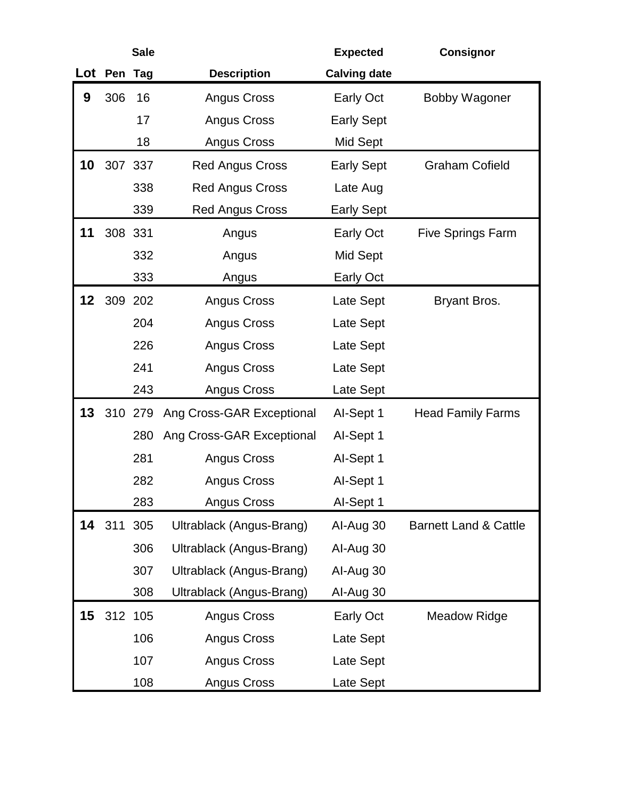|                 |             | <b>Sale</b> |                           | <b>Expected</b>     | <b>Consignor</b>                 |
|-----------------|-------------|-------------|---------------------------|---------------------|----------------------------------|
|                 | Lot Pen Tag |             | <b>Description</b>        | <b>Calving date</b> |                                  |
| 9               | 306         | 16          | <b>Angus Cross</b>        | <b>Early Oct</b>    | <b>Bobby Wagoner</b>             |
|                 |             | 17          | <b>Angus Cross</b>        | <b>Early Sept</b>   |                                  |
|                 |             | 18          | <b>Angus Cross</b>        | Mid Sept            |                                  |
| 10              |             | 307 337     | <b>Red Angus Cross</b>    | <b>Early Sept</b>   | <b>Graham Cofield</b>            |
|                 |             | 338         | <b>Red Angus Cross</b>    | Late Aug            |                                  |
|                 |             | 339         | <b>Red Angus Cross</b>    | <b>Early Sept</b>   |                                  |
| 11              | 308 331     |             | Angus                     | <b>Early Oct</b>    | <b>Five Springs Farm</b>         |
|                 |             | 332         | Angus                     | Mid Sept            |                                  |
|                 |             | 333         | Angus                     | Early Oct           |                                  |
| 12 <sup>°</sup> |             | 309 202     | <b>Angus Cross</b>        | Late Sept           | Bryant Bros.                     |
|                 |             | 204         | <b>Angus Cross</b>        | Late Sept           |                                  |
|                 |             | 226         | <b>Angus Cross</b>        | Late Sept           |                                  |
|                 |             | 241         | <b>Angus Cross</b>        | Late Sept           |                                  |
|                 |             | 243         | <b>Angus Cross</b>        | Late Sept           |                                  |
| 13              |             | 310 279     | Ang Cross-GAR Exceptional | Al-Sept 1           | <b>Head Family Farms</b>         |
|                 |             | 280         | Ang Cross-GAR Exceptional | Al-Sept 1           |                                  |
|                 |             | 281         | Angus Cross               | Al-Sept 1           |                                  |
|                 |             | 282         | <b>Angus Cross</b>        | Al-Sept 1           |                                  |
|                 |             | 283         | Angus Cross               | Al-Sept 1           |                                  |
| 14              | 311         | 305         | Ultrablack (Angus-Brang)  | Al-Aug 30           | <b>Barnett Land &amp; Cattle</b> |
|                 |             | 306         | Ultrablack (Angus-Brang)  | Al-Aug 30           |                                  |
|                 |             | 307         | Ultrablack (Angus-Brang)  | Al-Aug 30           |                                  |
|                 |             | 308         | Ultrablack (Angus-Brang)  | Al-Aug 30           |                                  |
| 15              |             | 312 105     | Angus Cross               | Early Oct           | <b>Meadow Ridge</b>              |
|                 |             | 106         | Angus Cross               | Late Sept           |                                  |
|                 |             | 107         | Angus Cross               | Late Sept           |                                  |
|                 |             | 108         | Angus Cross               | Late Sept           |                                  |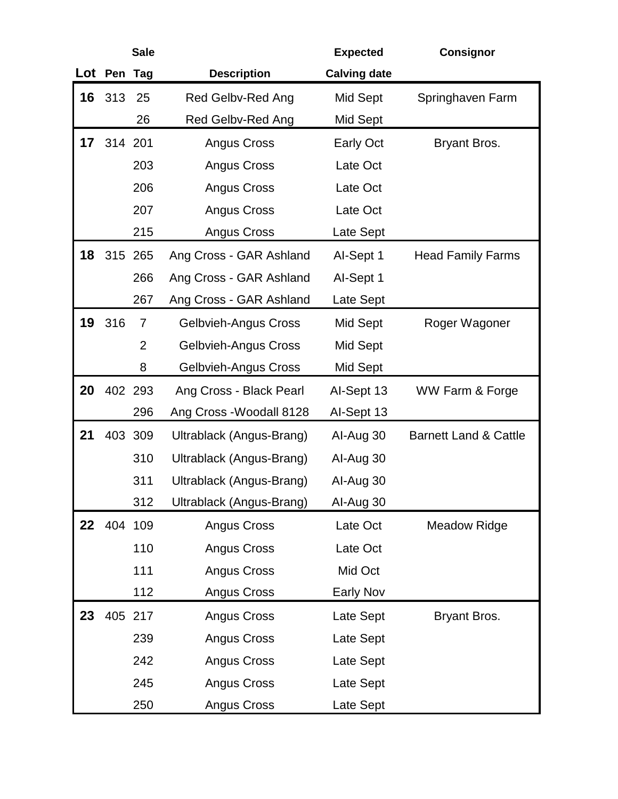|                 |             | <b>Sale</b>    |                             | <b>Expected</b>     | <b>Consignor</b>                 |
|-----------------|-------------|----------------|-----------------------------|---------------------|----------------------------------|
|                 | Lot Pen Tag |                | <b>Description</b>          | <b>Calving date</b> |                                  |
| 16              | 313         | 25             | <b>Red Gelbv-Red Ang</b>    | Mid Sept            | Springhaven Farm                 |
|                 |             | 26             | Red Gelbv-Red Ang           | Mid Sept            |                                  |
| 17              | 314 201     |                | <b>Angus Cross</b>          | <b>Early Oct</b>    | Bryant Bros.                     |
|                 |             | 203            | Angus Cross                 | Late Oct            |                                  |
|                 |             | 206            | Angus Cross                 | Late Oct            |                                  |
|                 |             | 207            | Angus Cross                 | Late Oct            |                                  |
|                 |             | 215            | Angus Cross                 | Late Sept           |                                  |
| 18              |             | 315 265        | Ang Cross - GAR Ashland     | Al-Sept 1           | <b>Head Family Farms</b>         |
|                 |             | 266            | Ang Cross - GAR Ashland     | Al-Sept 1           |                                  |
|                 |             | 267            | Ang Cross - GAR Ashland     | Late Sept           |                                  |
| 19              | 316         | $\overline{7}$ | <b>Gelbvieh-Angus Cross</b> | Mid Sept            | Roger Wagoner                    |
|                 |             | $\overline{2}$ | <b>Gelbvieh-Angus Cross</b> | Mid Sept            |                                  |
|                 |             | 8              | <b>Gelbvieh-Angus Cross</b> | Mid Sept            |                                  |
| 20              |             | 402 293        | Ang Cross - Black Pearl     | Al-Sept 13          | WW Farm & Forge                  |
|                 |             | 296            | Ang Cross - Woodall 8128    | Al-Sept 13          |                                  |
| 21              |             | 403 309        | Ultrablack (Angus-Brang)    | Al-Aug 30           | <b>Barnett Land &amp; Cattle</b> |
|                 |             | 310            | Ultrablack (Angus-Brang)    | Al-Aug 30           |                                  |
|                 |             | 311            | Ultrablack (Angus-Brang)    | Al-Aug 30           |                                  |
|                 |             | 312            | Ultrablack (Angus-Brang)    | Al-Aug 30           |                                  |
| 22 <sub>2</sub> |             | 404 109        | <b>Angus Cross</b>          | Late Oct            | <b>Meadow Ridge</b>              |
|                 |             | 110            | <b>Angus Cross</b>          | Late Oct            |                                  |
|                 |             | 111            | <b>Angus Cross</b>          | Mid Oct             |                                  |
|                 |             | 112            | Angus Cross                 | Early Nov           |                                  |
| 23              |             | 405 217        | <b>Angus Cross</b>          | Late Sept           | Bryant Bros.                     |
|                 |             | 239            | <b>Angus Cross</b>          | Late Sept           |                                  |
|                 |             | 242            | <b>Angus Cross</b>          | Late Sept           |                                  |
|                 |             | 245            | Angus Cross                 | Late Sept           |                                  |
|                 |             | 250            | Angus Cross                 | Late Sept           |                                  |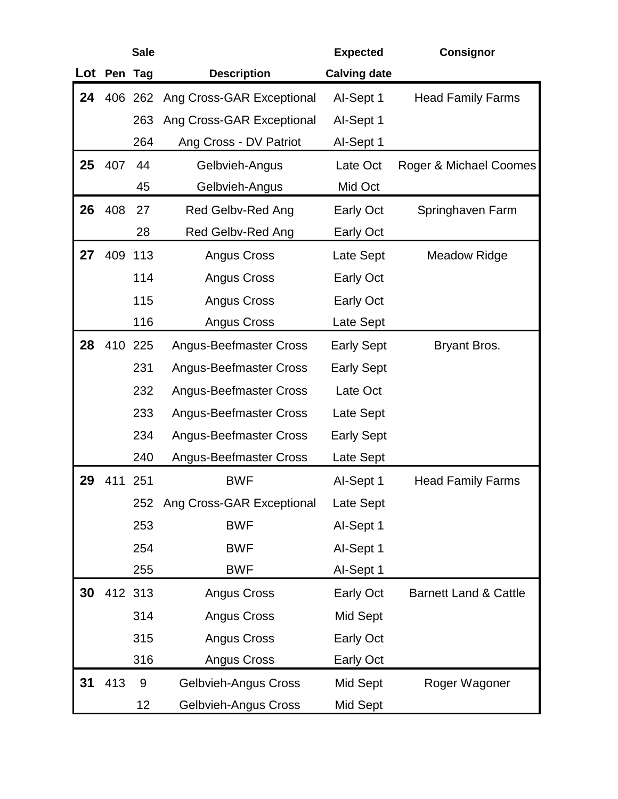|        |         | <b>Sale</b> |                               | <b>Expected</b>     | <b>Consignor</b>                 |
|--------|---------|-------------|-------------------------------|---------------------|----------------------------------|
| Lot    | Pen Tag |             | <b>Description</b>            | <b>Calving date</b> |                                  |
| 24     |         | 406 262     | Ang Cross-GAR Exceptional     | Al-Sept 1           | <b>Head Family Farms</b>         |
|        |         | 263         | Ang Cross-GAR Exceptional     | Al-Sept 1           |                                  |
|        |         | 264         | Ang Cross - DV Patriot        | Al-Sept 1           |                                  |
| $25\,$ | 407     | 44          | Gelbvieh-Angus                | Late Oct            | Roger & Michael Coomes           |
|        |         | 45          | Gelbvieh-Angus                | Mid Oct             |                                  |
| 26     | 408     | 27          | Red Gelbv-Red Ang             | Early Oct           | Springhaven Farm                 |
|        |         | 28          | Red Gelbv-Red Ang             | <b>Early Oct</b>    |                                  |
| 27     |         | 409 113     | Angus Cross                   | Late Sept           | <b>Meadow Ridge</b>              |
|        |         | 114         | Angus Cross                   | <b>Early Oct</b>    |                                  |
|        |         | 115         | Angus Cross                   | <b>Early Oct</b>    |                                  |
|        |         | 116         | Angus Cross                   | Late Sept           |                                  |
| 28     |         | 410 225     | <b>Angus-Beefmaster Cross</b> | <b>Early Sept</b>   | Bryant Bros.                     |
|        |         | 231         | <b>Angus-Beefmaster Cross</b> | <b>Early Sept</b>   |                                  |
|        |         | 232         | <b>Angus-Beefmaster Cross</b> | Late Oct            |                                  |
|        |         | 233         | <b>Angus-Beefmaster Cross</b> | Late Sept           |                                  |
|        |         | 234         | <b>Angus-Beefmaster Cross</b> | <b>Early Sept</b>   |                                  |
|        |         | 240         | <b>Angus-Beefmaster Cross</b> | Late Sept           |                                  |
| 29     | 411     | 251         | <b>BWF</b>                    | Al-Sept 1           | <b>Head Family Farms</b>         |
|        |         | 252         | Ang Cross-GAR Exceptional     | Late Sept           |                                  |
|        |         | 253         | <b>BWF</b>                    | Al-Sept 1           |                                  |
|        |         | 254         | <b>BWF</b>                    | Al-Sept 1           |                                  |
|        |         | 255         | <b>BWF</b>                    | Al-Sept 1           |                                  |
| 30     |         | 412 313     | Angus Cross                   | <b>Early Oct</b>    | <b>Barnett Land &amp; Cattle</b> |
|        |         | 314         | Angus Cross                   | Mid Sept            |                                  |
|        |         | 315         | <b>Angus Cross</b>            | <b>Early Oct</b>    |                                  |
|        |         | 316         | Angus Cross                   | <b>Early Oct</b>    |                                  |
| 31     | 413     | 9           | <b>Gelbvieh-Angus Cross</b>   | Mid Sept            | Roger Wagoner                    |
|        |         | 12          | Gelbvieh-Angus Cross          | Mid Sept            |                                  |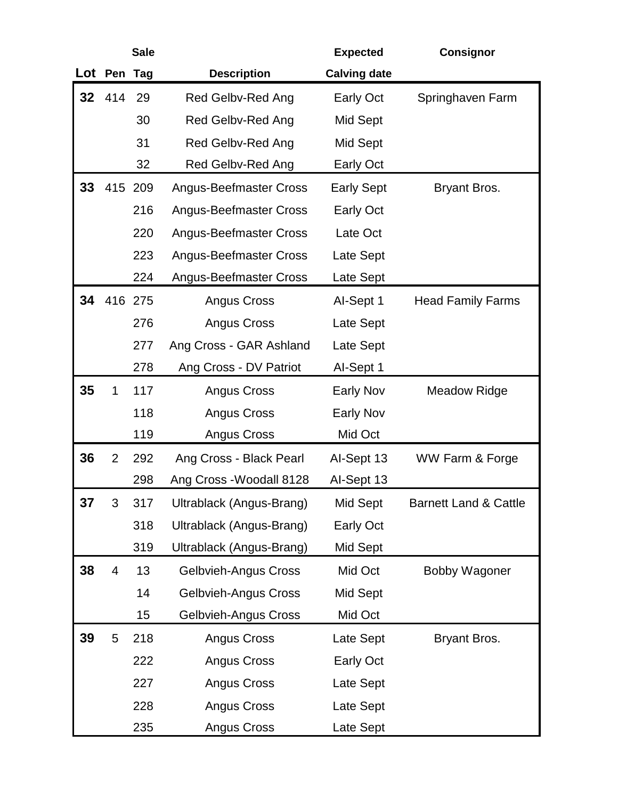|                 |                | <b>Sale</b> |                               | <b>Expected</b>     | <b>Consignor</b>                 |
|-----------------|----------------|-------------|-------------------------------|---------------------|----------------------------------|
|                 | Lot Pen Tag    |             | <b>Description</b>            | <b>Calving date</b> |                                  |
| 32 <sub>2</sub> | 414            | 29          | Red Gelbv-Red Ang             | <b>Early Oct</b>    | Springhaven Farm                 |
|                 |                | 30          | Red Gelbv-Red Ang             | Mid Sept            |                                  |
|                 |                | 31          | <b>Red Gelbv-Red Ang</b>      | Mid Sept            |                                  |
|                 |                | 32          | Red Gelbv-Red Ang             | Early Oct           |                                  |
| 33              |                | 415 209     | <b>Angus-Beefmaster Cross</b> | <b>Early Sept</b>   | Bryant Bros.                     |
|                 |                | 216         | <b>Angus-Beefmaster Cross</b> | <b>Early Oct</b>    |                                  |
|                 |                | 220         | <b>Angus-Beefmaster Cross</b> | Late Oct            |                                  |
|                 |                | 223         | <b>Angus-Beefmaster Cross</b> | Late Sept           |                                  |
|                 |                | 224         | <b>Angus-Beefmaster Cross</b> | Late Sept           |                                  |
| 34              |                | 416 275     | <b>Angus Cross</b>            | Al-Sept 1           | <b>Head Family Farms</b>         |
|                 |                | 276         | Angus Cross                   | Late Sept           |                                  |
|                 |                | 277         | Ang Cross - GAR Ashland       | Late Sept           |                                  |
|                 |                | 278         | Ang Cross - DV Patriot        | Al-Sept 1           |                                  |
| 35              | 1              | 117         | Angus Cross                   | <b>Early Nov</b>    | <b>Meadow Ridge</b>              |
|                 |                | 118         | Angus Cross                   | <b>Early Nov</b>    |                                  |
|                 |                | 119         | Angus Cross                   | Mid Oct             |                                  |
| 36              | $\overline{2}$ | 292         | Ang Cross - Black Pearl       | Al-Sept 13          | WW Farm & Forge                  |
|                 |                | 298         | Ang Cross - Woodall 8128      | Al-Sept 13          |                                  |
| 37              | 3              | 317         | Ultrablack (Angus-Brang)      | Mid Sept            | <b>Barnett Land &amp; Cattle</b> |
|                 |                | 318         | Ultrablack (Angus-Brang)      | Early Oct           |                                  |
|                 |                | 319         | Ultrablack (Angus-Brang)      | Mid Sept            |                                  |
| 38              | 4              | 13          | <b>Gelbvieh-Angus Cross</b>   | Mid Oct             | <b>Bobby Wagoner</b>             |
|                 |                | 14          | <b>Gelbvieh-Angus Cross</b>   | Mid Sept            |                                  |
|                 |                | 15          | Gelbvieh-Angus Cross          | Mid Oct             |                                  |
| 39              | 5              | 218         | Angus Cross                   | Late Sept           | Bryant Bros.                     |
|                 |                | 222         | Angus Cross                   | Early Oct           |                                  |
|                 |                | 227         | Angus Cross                   | Late Sept           |                                  |
|                 |                | 228         | Angus Cross                   | Late Sept           |                                  |
|                 |                | 235         | Angus Cross                   | Late Sept           |                                  |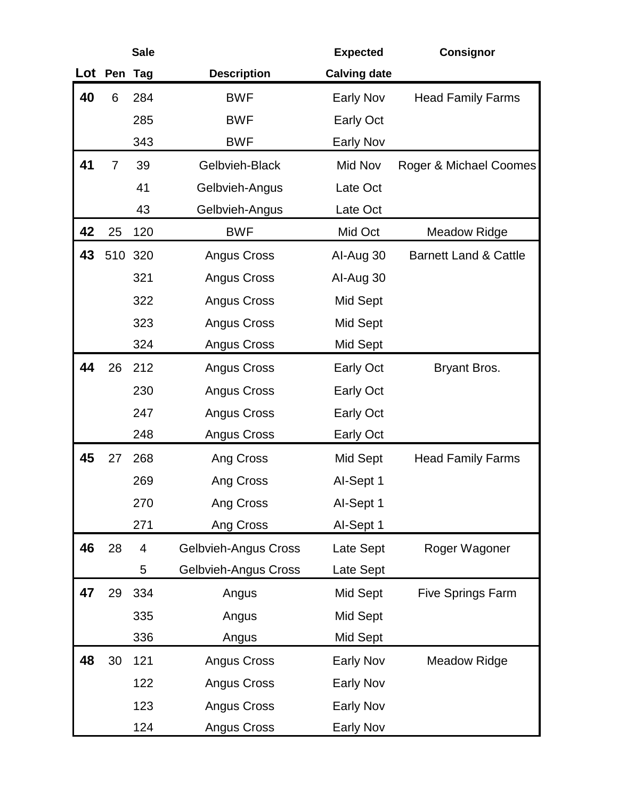|     |                | <b>Sale</b>             |                             | <b>Expected</b>     | <b>Consignor</b>                 |
|-----|----------------|-------------------------|-----------------------------|---------------------|----------------------------------|
| Lot | Pen            | Tag                     | <b>Description</b>          | <b>Calving date</b> |                                  |
| 40  | 6              | 284                     | <b>BWF</b>                  | <b>Early Nov</b>    | <b>Head Family Farms</b>         |
|     |                | 285                     | <b>BWF</b>                  | <b>Early Oct</b>    |                                  |
|     |                | 343                     | <b>BWF</b>                  | <b>Early Nov</b>    |                                  |
| 41  | $\overline{7}$ | 39                      | Gelbvieh-Black              | Mid Nov             | Roger & Michael Coomes           |
|     |                | 41                      | Gelbvieh-Angus              | Late Oct            |                                  |
|     |                | 43                      | Gelbvieh-Angus              | Late Oct            |                                  |
| 42  | 25             | 120                     | <b>BWF</b>                  | Mid Oct             | <b>Meadow Ridge</b>              |
| 43  |                | 510 320                 | <b>Angus Cross</b>          | Al-Aug 30           | <b>Barnett Land &amp; Cattle</b> |
|     |                | 321                     | <b>Angus Cross</b>          | Al-Aug 30           |                                  |
|     |                | 322                     | <b>Angus Cross</b>          | Mid Sept            |                                  |
|     |                | 323                     | <b>Angus Cross</b>          | Mid Sept            |                                  |
|     |                | 324                     | Angus Cross                 | Mid Sept            |                                  |
| 44  | 26             | 212                     | <b>Angus Cross</b>          | <b>Early Oct</b>    | Bryant Bros.                     |
|     |                | 230                     | <b>Angus Cross</b>          | <b>Early Oct</b>    |                                  |
|     |                | 247                     | Angus Cross                 | <b>Early Oct</b>    |                                  |
|     |                | 248                     | <b>Angus Cross</b>          | <b>Early Oct</b>    |                                  |
| 45  | 27             | 268                     | Ang Cross                   | Mid Sept            | <b>Head Family Farms</b>         |
|     |                | 269                     | Ang Cross                   | Al-Sept 1           |                                  |
|     |                | 270                     | Ang Cross                   | Al-Sept 1           |                                  |
|     |                | 271                     | Ang Cross                   | Al-Sept 1           |                                  |
| 46  | 28             | $\overline{\mathbf{4}}$ | <b>Gelbvieh-Angus Cross</b> | Late Sept           | Roger Wagoner                    |
|     |                | 5                       | Gelbvieh-Angus Cross        | Late Sept           |                                  |
| 47  | 29             | 334                     | Angus                       | Mid Sept            | <b>Five Springs Farm</b>         |
|     |                | 335                     | Angus                       | Mid Sept            |                                  |
|     |                | 336                     | Angus                       | Mid Sept            |                                  |
| 48  | 30             | 121                     | Angus Cross                 | <b>Early Nov</b>    | <b>Meadow Ridge</b>              |
|     |                | 122                     | Angus Cross                 | <b>Early Nov</b>    |                                  |
|     |                | 123                     | <b>Angus Cross</b>          | <b>Early Nov</b>    |                                  |
|     |                | 124                     | Angus Cross                 | Early Nov           |                                  |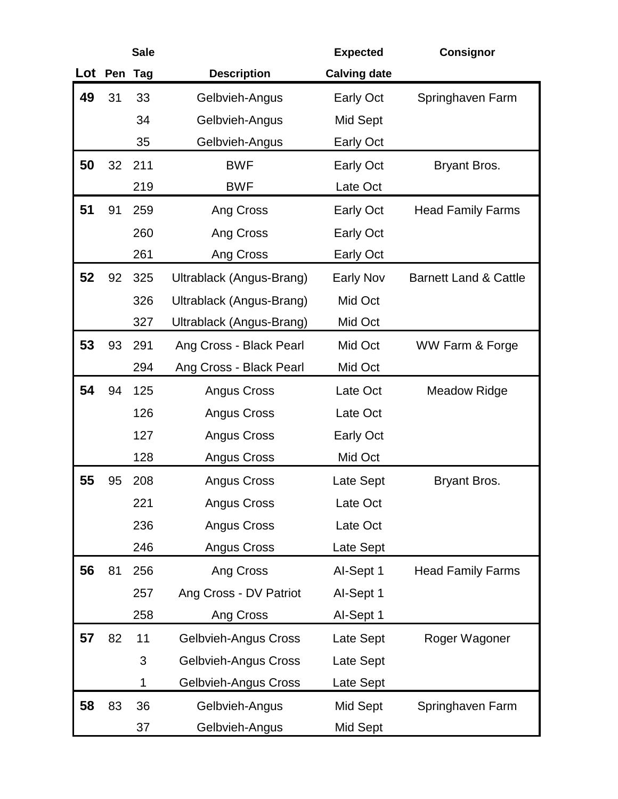|     |     | <b>Sale</b> |                             | <b>Expected</b>     | <b>Consignor</b>                 |
|-----|-----|-------------|-----------------------------|---------------------|----------------------------------|
| Lot | Pen | Tag         | <b>Description</b>          | <b>Calving date</b> |                                  |
| 49  | 31  | 33          | Gelbvieh-Angus              | <b>Early Oct</b>    | Springhaven Farm                 |
|     |     | 34          | Gelbvieh-Angus              | Mid Sept            |                                  |
|     |     | 35          | Gelbvieh-Angus              | <b>Early Oct</b>    |                                  |
| 50  | 32  | 211         | <b>BWF</b>                  | <b>Early Oct</b>    | Bryant Bros.                     |
|     |     | 219         | <b>BWF</b>                  | Late Oct            |                                  |
| 51  | 91  | 259         | Ang Cross                   | <b>Early Oct</b>    | <b>Head Family Farms</b>         |
|     |     | 260         | Ang Cross                   | <b>Early Oct</b>    |                                  |
|     |     | 261         | Ang Cross                   | <b>Early Oct</b>    |                                  |
| 52  | 92  | 325         | Ultrablack (Angus-Brang)    | <b>Early Nov</b>    | <b>Barnett Land &amp; Cattle</b> |
|     |     | 326         | Ultrablack (Angus-Brang)    | Mid Oct             |                                  |
|     |     | 327         | Ultrablack (Angus-Brang)    | Mid Oct             |                                  |
| 53  | 93  | 291         | Ang Cross - Black Pearl     | Mid Oct             | WW Farm & Forge                  |
|     |     | 294         | Ang Cross - Black Pearl     | Mid Oct             |                                  |
| 54  | 94  | 125         | <b>Angus Cross</b>          | Late Oct            | <b>Meadow Ridge</b>              |
|     |     | 126         | <b>Angus Cross</b>          | Late Oct            |                                  |
|     |     | 127         | <b>Angus Cross</b>          | <b>Early Oct</b>    |                                  |
|     |     | 128         | <b>Angus Cross</b>          | Mid Oct             |                                  |
| 55  | 95  | 208         | <b>Angus Cross</b>          | Late Sept           | Bryant Bros.                     |
|     |     | 221         | <b>Angus Cross</b>          | Late Oct            |                                  |
|     |     | 236         | Angus Cross                 | Late Oct            |                                  |
|     |     | 246         | Angus Cross                 | Late Sept           |                                  |
| 56  | 81  | 256         | Ang Cross                   | Al-Sept 1           | <b>Head Family Farms</b>         |
|     |     | 257         | Ang Cross - DV Patriot      | Al-Sept 1           |                                  |
|     |     | 258         | Ang Cross                   | Al-Sept 1           |                                  |
| 57  | 82  | 11          | <b>Gelbvieh-Angus Cross</b> | Late Sept           | Roger Wagoner                    |
|     |     | 3           | <b>Gelbvieh-Angus Cross</b> | Late Sept           |                                  |
|     |     | 1           | Gelbvieh-Angus Cross        | Late Sept           |                                  |
| 58  | 83  | 36          | Gelbvieh-Angus              | Mid Sept            | Springhaven Farm                 |
|     |     | 37          | Gelbvieh-Angus              | Mid Sept            |                                  |